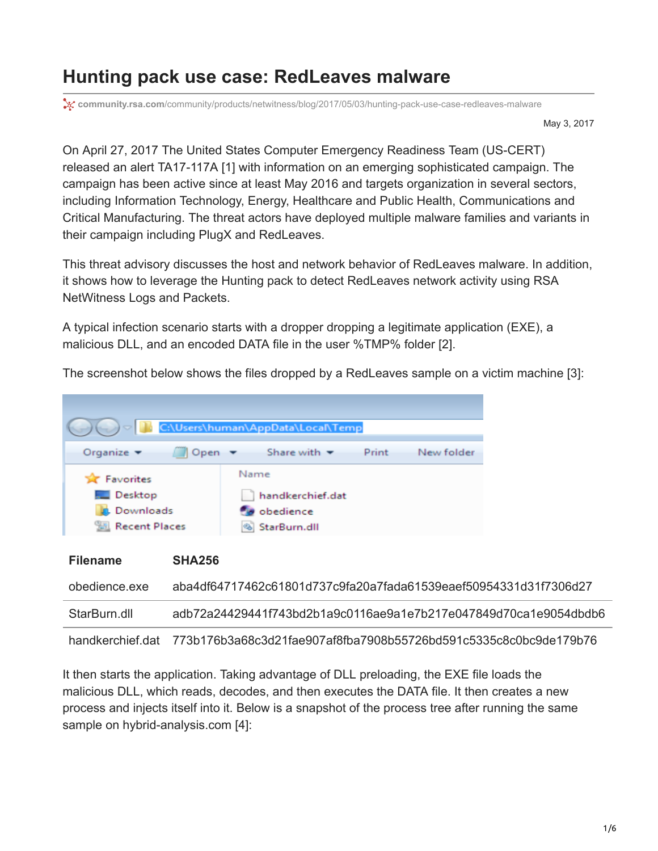## **Hunting pack use case: RedLeaves malware**

**x** community.rsa.com[/community/products/netwitness/blog/2017/05/03/hunting-pack-use-case-redleaves-malware](https://community.rsa.com/community/products/netwitness/blog/2017/05/03/hunting-pack-use-case-redleaves-malware)

May 3, 2017

On April 27, 2017 The United States Computer Emergency Readiness Team (US-CERT) released an alert TA17-117A [1] with information on an emerging sophisticated campaign. The campaign has been active since at least May 2016 and targets organization in several sectors, including Information Technology, Energy, Healthcare and Public Health, Communications and Critical Manufacturing. The threat actors have deployed multiple malware families and variants in their campaign including PlugX and RedLeaves.

This threat advisory discusses the host and network behavior of RedLeaves malware. In addition, it shows how to leverage the Hunting pack to detect RedLeaves network activity using RSA NetWitness Logs and Packets.

A typical infection scenario starts with a dropper dropping a legitimate application (EXE), a malicious DLL, and an encoded DATA file in the user %TMP% folder [2].

The screenshot below shows the files dropped by a RedLeaves sample on a victim machine [3]:



| .                | -------                                                                          |
|------------------|----------------------------------------------------------------------------------|
| obedience.exe    | aba4df64717462c61801d737c9fa20a7fada61539eaef50954331d31f7306d27                 |
| StarBurn.dll     | adb72a24429441f743bd2b1a9c0116ae9a1e7b217e047849d70ca1e9054dbdb6                 |
| handkerchief dat | 773b176b3a68c3d21fae907af8fba7908b55726bd591c5335c8c0bc9de179b76________________ |

It then starts the application. Taking advantage of DLL preloading, the EXE file loads the malicious DLL, which reads, decodes, and then executes the DATA file. It then creates a new process and injects itself into it. Below is a snapshot of the process tree after running the same sample on hybrid-analysis.com [4]: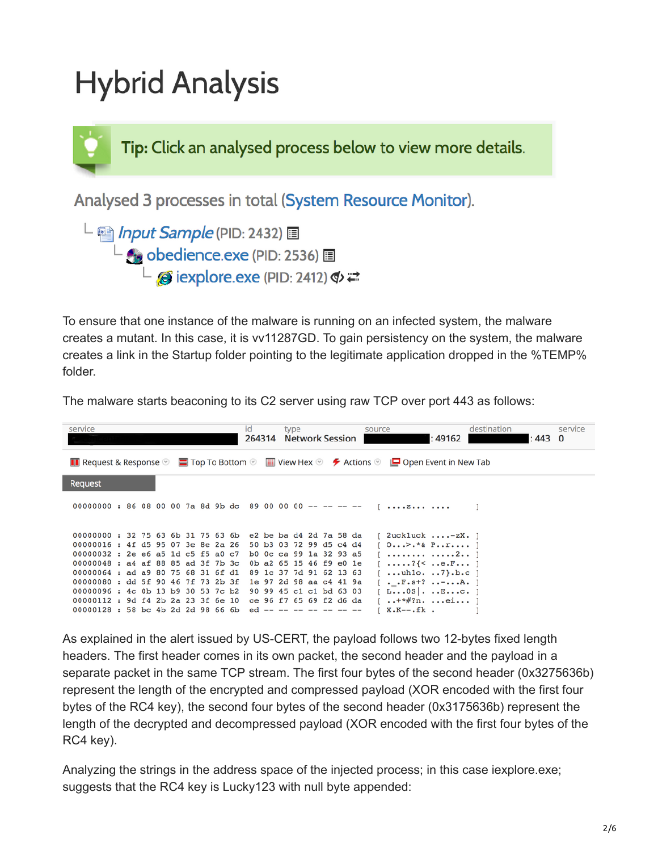## **Hybrid Analysis**

Tip: Click an analysed process below to view more details.

Analysed 3 processes in total (System Resource Monitor).

L annut Sample (PID: 2432) 国  $\overline{\phantom{a}}$  obedience.exe (PID: 2536)  $\overline{\phantom{a}}$  $\overline{a}$  iexplore.exe (PID: 2412)  $\Phi \rightleftarrows$ 

To ensure that one instance of the malware is running on an infected system, the malware creates a mutant. In this case, it is vv11287GD. To gain persistency on the system, the malware creates a link in the Startup folder pointing to the legitimate application dropped in the %TEMP% folder.

The malware starts beaconing to its C2 server using raw TCP over port 443 as follows:

|                                                                                                                                                                                                                 | service                                                                  |  |  |  |  |  |  |  |  | id<br>264314 |  | type |  | <b>Network Session</b>                             |                         | source |                                                                 | : 49162 | destination<br>: 443 | service<br>$\Omega$ |
|-----------------------------------------------------------------------------------------------------------------------------------------------------------------------------------------------------------------|--------------------------------------------------------------------------|--|--|--|--|--|--|--|--|--------------|--|------|--|----------------------------------------------------|-------------------------|--------|-----------------------------------------------------------------|---------|----------------------|---------------------|
| <b>The Request &amp; Response <math>\odot</math> <math>\blacksquare</math></b> Top To Bottom $\odot$ $\blacksquare$ View Hex $\odot$ $\blacktriangleright$ Actions $\odot$ $\blacksquare$ Open Event in New Tab |                                                                          |  |  |  |  |  |  |  |  |              |  |      |  |                                                    |                         |        |                                                                 |         |                      |                     |
|                                                                                                                                                                                                                 | Request                                                                  |  |  |  |  |  |  |  |  |              |  |      |  |                                                    |                         |        |                                                                 |         |                      |                     |
|                                                                                                                                                                                                                 |                                                                          |  |  |  |  |  |  |  |  |              |  |      |  |                                                    |                         |        | 00000000 : 86 08 00 00 7a 8d 9b dc 89 00 00 00 -- -- -- -- [  z |         |                      |                     |
|                                                                                                                                                                                                                 | 00000000 : 3275636b3175636b<br>00000016: 4f d5 95 07 3e 8e 2a 26         |  |  |  |  |  |  |  |  |              |  |      |  | 50 b3 03 72 99 d5 c4 d4                            | e2 be ba d4 2d 7a 58 da |        | $[$ 2uckluck -zX. $]$<br>$[0>.*⪻]$                              |         |                      |                     |
|                                                                                                                                                                                                                 | 00000032 : 2e e6 a5 1d c5 f5 a0 c7<br>00000048 : a4 af 88 85 ad 3f 7b 3c |  |  |  |  |  |  |  |  |              |  |      |  | b0 0c ca 99 1a 32 93 a5<br>0b a2 65 15 46 f9 e0 le |                         |        | $\lceil$ 2 1<br>$[?$ {< $]$                                     |         |                      |                     |
|                                                                                                                                                                                                                 | 00000064 : ad a9 80 75 68 31 6f dl                                       |  |  |  |  |  |  |  |  |              |  |      |  | 89 1c 37 7d 91 62 13 63                            |                         |        | $\lceil$ uhlo.  7 }. b. c 1                                     |         |                      |                     |
|                                                                                                                                                                                                                 | 00000080: dd 5f 90 46 7f 73 2b 3f                                        |  |  |  |  |  |  |  |  |              |  |      |  |                                                    | le 97 2d 98 aa c4 41 9a |        | $[ F. s+? A. ]$                                                 |         |                      |                     |
|                                                                                                                                                                                                                 | 00000096: 4c 0b 13 b9 30 53 7c b2                                        |  |  |  |  |  |  |  |  |              |  |      |  | 90 99 45 c1 c1 bd 63 03                            |                         |        | [L0S], LEc.]                                                    |         |                      |                     |
|                                                                                                                                                                                                                 | 00000112: 9d f4 2b 2a 23 3f 6e 10                                        |  |  |  |  |  |  |  |  |              |  |      |  |                                                    | ce 96 f7 65 69 f2 d6 da |        | $[  + * \#?n. e]  ]$                                            |         |                      |                     |
|                                                                                                                                                                                                                 | $00000128$ : 58 bc 4b 2d 2d 98 66 6b ed -- -- -- -- -- -- --             |  |  |  |  |  |  |  |  |              |  |      |  |                                                    |                         |        | $K.K--.fk$ .                                                    |         |                      |                     |

As explained in the alert issued by US-CERT, the payload follows two 12-bytes fixed length headers. The first header comes in its own packet, the second header and the payload in a separate packet in the same TCP stream. The first four bytes of the second header (0x3275636b) represent the length of the encrypted and compressed payload (XOR encoded with the first four bytes of the RC4 key), the second four bytes of the second header (0x3175636b) represent the length of the decrypted and decompressed payload (XOR encoded with the first four bytes of the RC4 key).

Analyzing the strings in the address space of the injected process; in this case iexplore.exe; suggests that the RC4 key is Lucky123 with null byte appended: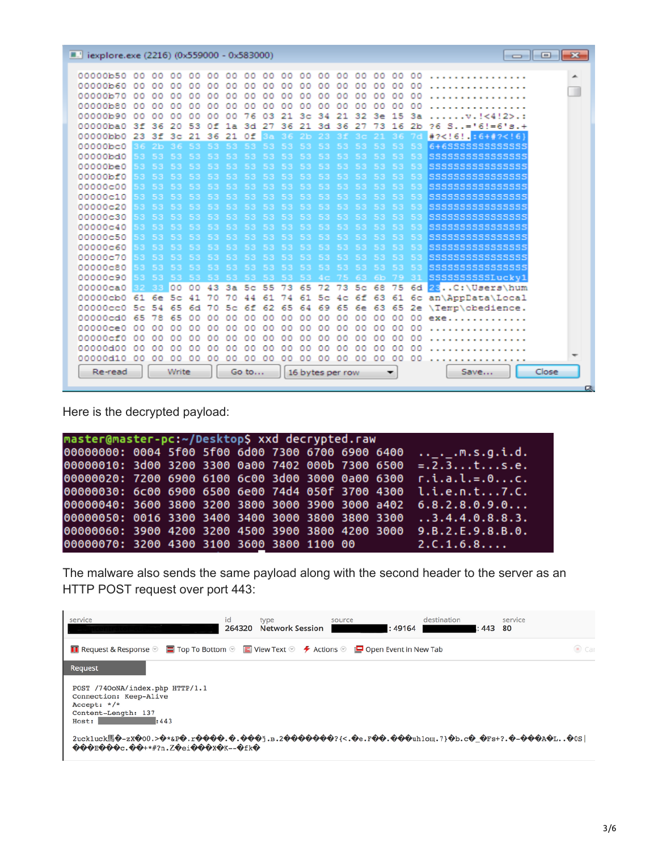| <b>E.'</b> iexplore.exe (2216) (0x559000 - 0x583000) |            |          |                |              |          |          |                |          |          |                      |          |                  |                |            |          |                | $\overline{\phantom{a}}$ $\overline{\phantom{a}}$ $\overline{\phantom{a}}$ $\overline{\phantom{a}}$ |
|------------------------------------------------------|------------|----------|----------------|--------------|----------|----------|----------------|----------|----------|----------------------|----------|------------------|----------------|------------|----------|----------------|-----------------------------------------------------------------------------------------------------|
|                                                      |            |          |                |              |          |          |                |          |          |                      |          |                  |                |            |          |                |                                                                                                     |
| 00000b50 00 00 00                                    |            |          | 00             | 00           |          | 0000     | 00             | 00       | 00       |                      | 000000   |                  |                |            |          | 00 00 00 00    | .<br>┻                                                                                              |
| 00000b60                                             | 00.        | 00       |                | ٥o           | 00.      | 00       | 00             | 00       | 00       | 00                   | 00       | 00               | 00             | 00         | 00       | 00             | ш                                                                                                   |
| 00000Ъ70                                             | oo         | 00       | 00             | 00           | 00       | 00       | 00             | 00       | oo       | 00                   | 00       | 00               | 00             | 00         | 00       | 00             |                                                                                                     |
| 00000b80<br>00000b90                                 | 00         | ٥o       | ٥٥             | ٥<br>٥<br>00 | ٥o       | ٥o       | ٥٥             | ٥٥<br>03 | ٥o<br>21 | 00                   | ٥٥<br>34 | ٥٥<br>21         | 00<br>32       | ٥o<br>3e   | ٥o<br>15 | ٥٥<br>3a       |                                                                                                     |
| 00000ba0                                             | 00<br>3f   | ٥o<br>36 | ٥o<br>20       | 53           | ٥o<br>Ωf | oo       | 76<br>3d       | 27       | 36       | 3 <sub>c</sub><br>21 | 3d       | 36               | 27             | 73         | 16       | 2 <sub>b</sub> | $\ldots$ $v$ $\ldots$ $(4!25)$ $\ldots$<br>26<br>$S_{1} = 6! = 6! = 6! = +$                         |
| 00000bb0                                             | 23         | 3f       | 3 <sub>c</sub> | 21           | 36       | 1a<br>21 | Οf             |          | 36       | 2 <sub>b</sub>       | 23       | -3 f             |                |            |          |                | $#7 < 16!$ .: 6+#2 6)</td                                                                           |
| 00000bc0                                             |            | 36 2b    |                |              |          |          | 53             | 3a<br>53 | 53       | 53                   | 53       |                  |                | 53         | 53       | 53             | 6+6SSSSSSSSSSSSS                                                                                    |
| 00000bd0                                             |            | 53 53    | 53             |              |          |          | 53             | 53       | 53       | 53                   | 53       | 53               | 53             | 53         | 53       | 53             | SSSSSSSSSSSSSSSS                                                                                    |
| 00000be0                                             | 53.        |          | 53             |              | 53       |          | 53             | 53       | 53       | 53                   | 53       | 53               | 53             | 53         | 53       | 53             | 555555555555555                                                                                     |
| 00000bf0                                             |            |          |                |              |          |          |                | 53       | 53       |                      | 53       | 53               |                | 53         | 53       | 53             | 555555555555555                                                                                     |
| 00000c00                                             | 53         |          |                |              |          |          |                |          |          |                      |          |                  |                |            |          | 53             | 555555555555555                                                                                     |
| 00000c10                                             | 53.        |          |                |              |          |          |                |          |          |                      |          |                  |                |            |          | 53             | 555555555555555                                                                                     |
| 00000c20                                             | 53.        |          |                |              |          |          |                |          |          |                      |          |                  |                |            |          | 53             | 5555555555555555                                                                                    |
| 00000c30                                             | 53         |          | 53             | 53           | 53       | 53       | 53             | 53       | 53       | 53                   | 53       | 53               | 53             | 53         | 53       | 53             | SSSSSSSSSSSSSSSS                                                                                    |
| 00000c40                                             | 53         |          |                |              |          |          |                | 53       |          |                      |          |                  |                |            |          | 53             | SSSSSSSSSSSSSSSS                                                                                    |
| 00000c50                                             | 53.        |          |                |              |          |          |                | 53       | 53       |                      | 53       | 53               |                | 53         | 53       | 53             | \$\$\$\$\$\$\$\$\$\$\$\$\$\$\$\$                                                                    |
| 00000c60                                             | 53.        |          |                |              |          |          |                |          |          |                      |          |                  |                |            |          | 53             | SSSSSSSSSSSSSSSS                                                                                    |
| 00000c70                                             | 53.        |          |                |              |          |          |                | 53       | 53       |                      | 53       | 53               | 53             | 53         | 53       | 53             | 555555555555555                                                                                     |
| 00000c80                                             | 53.        | 53       |                |              | 53       |          | 53             | 53       | 53       | 53                   | 53       | 53               | 53             | 53         | 53       | 53             | SSSSSSSSSSSSSSS                                                                                     |
| 00000c90                                             | 53         | -53      | 53             | 53           | 53       |          | 53             | 53 53    |          | 53.                  | 4c 75    |                  | 63.            | 6 <b>b</b> | 79       | 31             | SSSSSSSSSSLucky1                                                                                    |
| 00000ca0                                             |            |          | loo            | 00           | 43       | 3a       | 5 <sub>c</sub> | 55       | 73       | 65                   | 72 73    |                  | 5 <sub>c</sub> | 68         | 75       | 6d             | 28C:\Users\hum                                                                                      |
| 00000cb0                                             | 61         | 6e       | 5c             | 41           | 70       | 70       | 44             | 61       | 74       | 61                   |          | $5c$ $4c$        | 6f             | 63         | 61       |                | 6c an\AppData\Local                                                                                 |
| 00000cc0                                             | 5c         | 54       | 65             | 6d           | 70       | 5c       | 6f             | 62       | 65       | 64                   | 69       | 65               | 6e             | 63         | 65       |                | 2e \Temp\obedience.                                                                                 |
| 00000cd0                                             | 65         | 8        | 65             | o٥           | ٥o       | ٥o       | ٥o             | 00       | 00       | 00                   | ٥o       | 00               | 00             | 00         | 00       | 00             | exe.                                                                                                |
| 00000ce0                                             | ٥o         | ٥o       | Ω<br>o         | Ω<br>Ω       | ٥o       | ٥o       | ٥٥             | ٥o       | o<br>٥   | ٥o                   | ٥o       | 00               | ٥o             | $^{00}$    | $^{00}$  | $^{00}$        |                                                                                                     |
| 00000cf0                                             | ٥o         | 00       | 00             | ٥o           | 00       | ٥o       | ٥o             | 00       | 00       | ٥o                   | 00       | 00               | 00             | 00         | 00       | 00             |                                                                                                     |
| 00000d00                                             | $^{\circ}$ | ٥o       | oo             | ٥o           | ٥o       | ٥o       | ٥o             | oo       | ٥<br>٥   | ٥o                   | ٥o       | oo               | oo             | $^{00}$    | OO.      | oo             |                                                                                                     |
| 00000d10                                             | 00         | 00       | $^{\circ}$     | 00           | 00       | oo       | ٥o             | $^{00}$  | ٥o       | ٥o                   | 00       | 00               | 00             | $^{\circ}$ | $^{00}$  | $^{00}$        | -<br>$\cdots$                                                                                       |
| Re-read                                              |            |          | Write          |              |          |          | Go to          |          |          |                      |          | 16 bytes per row |                |            | -        |                | Close<br>Save                                                                                       |
|                                                      |            |          |                |              |          |          |                |          |          |                      |          |                  |                |            |          |                | $\alpha$                                                                                            |

Here is the decrypted payload:

| master@master-pc:~/Desktop\$ xxd decrypted.raw |  |  |  |  |  |  |  |  |                                                                    |
|------------------------------------------------|--|--|--|--|--|--|--|--|--------------------------------------------------------------------|
|                                                |  |  |  |  |  |  |  |  |                                                                    |
|                                                |  |  |  |  |  |  |  |  | 00000010: 3d00 3200 3300 0a00 7402 000b 7300 6500 =.2.3ts.e.       |
|                                                |  |  |  |  |  |  |  |  | 00000020: 7200 6900 6100 6c00 3d00 3000 0a00 6300  r.i.a.l.=.0c.   |
|                                                |  |  |  |  |  |  |  |  | 00000030: 6c00 6900 6500 6e00 74d4 050f 3700 4300 l.i.e.n.t7.C.    |
|                                                |  |  |  |  |  |  |  |  | $00000040: 3600 3800 3200 3800 3000 3900 3000 a402 6.8.2.8.0.9.0$  |
|                                                |  |  |  |  |  |  |  |  | 00000050: 0016 3300 3400 3400 3000 3800 3800 3300 3.4.4.0.8.8.3.   |
|                                                |  |  |  |  |  |  |  |  | 00000060: 3900 4200 3200 4500 3900 3800 4200 3000 9.B.2.E.9.8.B.0. |
| 00000070: 3200 4300 3100 3600 3800 1100 00     |  |  |  |  |  |  |  |  | 2.C.1.6.8                                                          |

The malware also sends the same payload along with the second header to the server as an HTTP POST request over port 443:

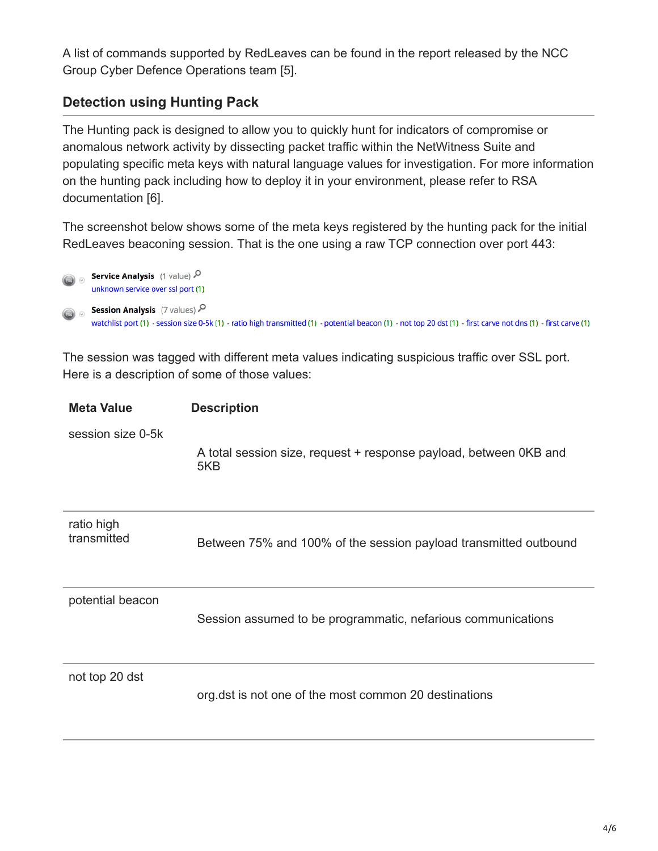A list of commands supported by RedLeaves can be found in the report released by the NCC Group Cyber Defence Operations team [5].

## **Detection using Hunting Pack**

The Hunting pack is designed to allow you to quickly hunt for indicators of compromise or anomalous network activity by dissecting packet traffic within the NetWitness Suite and populating specific meta keys with natural language values for investigation. For more information on the hunting pack including how to deploy it in your environment, please refer to RSA documentation [6].

The screenshot below shows some of the meta keys registered by the hunting pack for the initial RedLeaves beaconing session. That is the one using a raw TCP connection over port 443:



The session was tagged with different meta values indicating suspicious traffic over SSL port. Here is a description of some of those values:

| <b>Meta Value</b>         | <b>Description</b>                                                       |
|---------------------------|--------------------------------------------------------------------------|
| session size 0-5k         | A total session size, request + response payload, between OKB and<br>5KB |
| ratio high<br>transmitted | Between 75% and 100% of the session payload transmitted outbound         |
| potential beacon          | Session assumed to be programmatic, nefarious communications             |
| not top 20 dst            | org.dst is not one of the most common 20 destinations                    |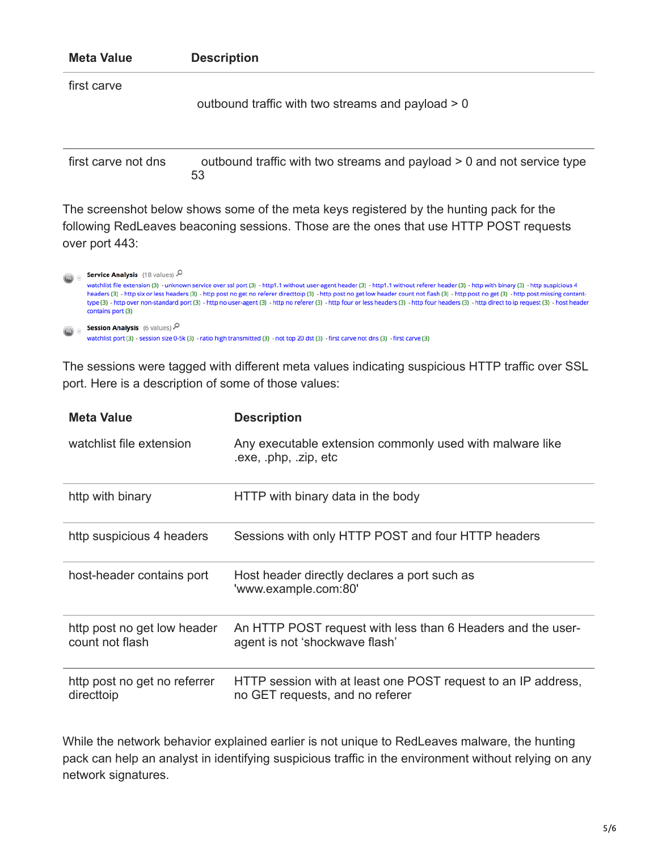| <b>Meta Value</b>   | <b>Description</b>                                                                      |
|---------------------|-----------------------------------------------------------------------------------------|
| first carve         | outbound traffic with two streams and payload > 0                                       |
| first carve not dns | outbound traffic with two streams and payload > 0 and not service type<br>53            |
|                     | The screenshot helow shows some of the meta keys registered by the hunting pack for the |

The screenshot below shows some of the meta keys registered by the hunting pack for the following RedLeaves beaconing sessions. Those are the ones that use HTTP POST requests over port 443:

| $\bigcirc$ | Service Analysis (18 values)<br>watchlist file extension (3) - unknown service over ssl port (3) - http1.1 without user-agent header (3) - http1.1 without referer header (3) - http with binary (3) - http suspicious 4<br>headers (3) - http six or less headers (3) - http post no get no referer directtoip (3) - http post no get low header count not flash (3) - http post no get (3) - http post missing content-<br>type (3) - http over non-standard port (3) - http no user-agent (3) - http no referer (3) - http four or less headers (3) - http four headers (3) - http direct to ip request (3) - host header<br>contains port (3) |
|------------|---------------------------------------------------------------------------------------------------------------------------------------------------------------------------------------------------------------------------------------------------------------------------------------------------------------------------------------------------------------------------------------------------------------------------------------------------------------------------------------------------------------------------------------------------------------------------------------------------------------------------------------------------|
| $\bigcirc$ | <b>Session Analysis</b> (6 values) $\mathcal{P}$<br>watchlist port (3) - session size 0-5k (3) - ratio high transmitted (3) - not top 20 dst (3) - first carve not dns (3) - first carve (3)                                                                                                                                                                                                                                                                                                                                                                                                                                                      |

The sessions were tagged with different meta values indicating suspicious HTTP traffic over SSL port. Here is a description of some of those values:

| <b>Meta Value</b>                              | <b>Description</b>                                                                               |
|------------------------------------------------|--------------------------------------------------------------------------------------------------|
| watchlist file extension                       | Any executable extension commonly used with malware like<br>.exe, .php, .zip, etc                |
| http with binary                               | HTTP with binary data in the body                                                                |
| http suspicious 4 headers                      | Sessions with only HTTP POST and four HTTP headers                                               |
| host-header contains port                      | Host header directly declares a port such as<br>'www.example.com:80'                             |
| http post no get low header<br>count not flash | An HTTP POST request with less than 6 Headers and the user-<br>agent is not 'shockwave flash'    |
| http post no get no referrer<br>directtoip     | HTTP session with at least one POST request to an IP address,<br>no GET requests, and no referer |

While the network behavior explained earlier is not unique to RedLeaves malware, the hunting pack can help an analyst in identifying suspicious traffic in the environment without relying on any network signatures.